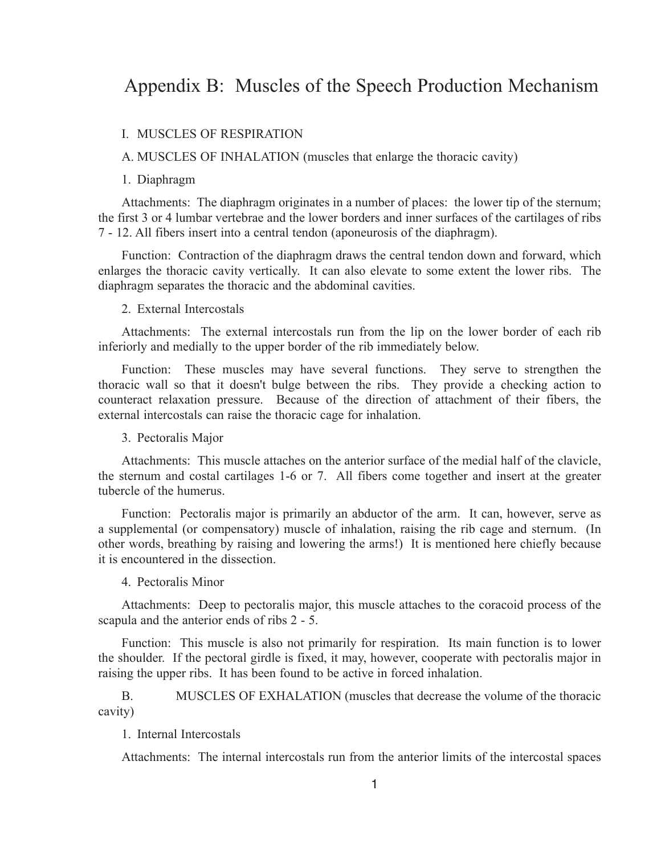# Appendix B: Muscles of the Speech Production Mechanism

### I. MUSCLES OF RESPIRATION

A. MUSCLES OF INHALATION (muscles that enlarge the thoracic cavity)

### 1. Diaphragm

Attachments: The diaphragm originates in a number of places: the lower tip of the sternum; the first 3 or 4 lumbar vertebrae and the lower borders and inner surfaces of the cartilages of ribs 7 - 12. All fibers insert into a central tendon (aponeurosis of the diaphragm).

Function: Contraction of the diaphragm draws the central tendon down and forward, which enlarges the thoracic cavity vertically. It can also elevate to some extent the lower ribs. The diaphragm separates the thoracic and the abdominal cavities.

# 2. External Intercostals

Attachments: The external intercostals run from the lip on the lower border of each rib inferiorly and medially to the upper border of the rib immediately below.

Function: These muscles may have several functions. They serve to strengthen the thoracic wall so that it doesn't bulge between the ribs. They provide a checking action to counteract relaxation pressure. Because of the direction of attachment of their fibers, the external intercostals can raise the thoracic cage for inhalation.

#### 3. Pectoralis Major

Attachments: This muscle attaches on the anterior surface of the medial half of the clavicle, the sternum and costal cartilages 1-6 or 7. All fibers come together and insert at the greater tubercle of the humerus.

Function: Pectoralis major is primarily an abductor of the arm. It can, however, serve as a supplemental (or compensatory) muscle of inhalation, raising the rib cage and sternum. (In other words, breathing by raising and lowering the arms!) It is mentioned here chiefly because it is encountered in the dissection.

# 4. Pectoralis Minor

Attachments: Deep to pectoralis major, this muscle attaches to the coracoid process of the scapula and the anterior ends of ribs 2 - 5.

Function: This muscle is also not primarily for respiration. Its main function is to lower the shoulder. If the pectoral girdle is fixed, it may, however, cooperate with pectoralis major in raising the upper ribs. It has been found to be active in forced inhalation.

B. MUSCLES OF EXHALATION (muscles that decrease the volume of the thoracic cavity)

### 1. Internal Intercostals

Attachments: The internal intercostals run from the anterior limits of the intercostal spaces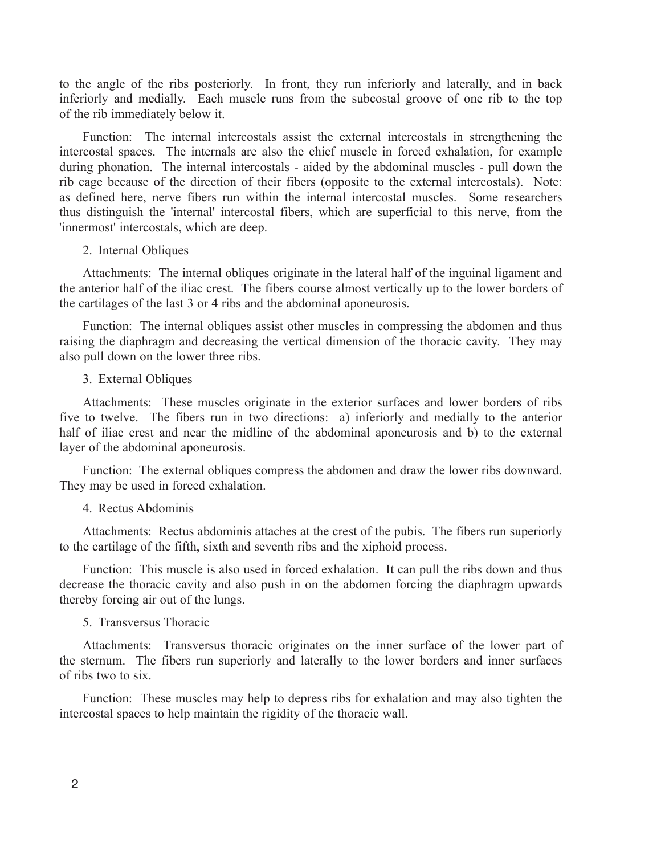to the angle of the ribs posteriorly. In front, they run inferiorly and laterally, and in back inferiorly and medially. Each muscle runs from the subcostal groove of one rib to the top of the rib immediately below it.

Function: The internal intercostals assist the external intercostals in strengthening the intercostal spaces. The internals are also the chief muscle in forced exhalation, for example during phonation. The internal intercostals - aided by the abdominal muscles - pull down the rib cage because of the direction of their fibers (opposite to the external intercostals). Note: as defined here, nerve fibers run within the internal intercostal muscles. Some researchers thus distinguish the 'internal' intercostal fibers, which are superficial to this nerve, from the 'innermost' intercostals, which are deep.

### 2. Internal Obliques

Attachments: The internal obliques originate in the lateral half of the inguinal ligament and the anterior half of the iliac crest. The fibers course almost vertically up to the lower borders of the cartilages of the last 3 or 4 ribs and the abdominal aponeurosis.

Function: The internal obliques assist other muscles in compressing the abdomen and thus raising the diaphragm and decreasing the vertical dimension of the thoracic cavity. They may also pull down on the lower three ribs.

# 3. External Obliques

Attachments: These muscles originate in the exterior surfaces and lower borders of ribs five to twelve. The fibers run in two directions: a) inferiorly and medially to the anterior half of iliac crest and near the midline of the abdominal aponeurosis and b) to the external layer of the abdominal aponeurosis.

Function: The external obliques compress the abdomen and draw the lower ribs downward. They may be used in forced exhalation.

# 4. Rectus Abdominis

Attachments: Rectus abdominis attaches at the crest of the pubis. The fibers run superiorly to the cartilage of the fifth, sixth and seventh ribs and the xiphoid process.

Function: This muscle is also used in forced exhalation. It can pull the ribs down and thus decrease the thoracic cavity and also push in on the abdomen forcing the diaphragm upwards thereby forcing air out of the lungs.

### 5. Transversus Thoracic

Attachments: Transversus thoracic originates on the inner surface of the lower part of the sternum. The fibers run superiorly and laterally to the lower borders and inner surfaces of ribs two to six.

Function: These muscles may help to depress ribs for exhalation and may also tighten the intercostal spaces to help maintain the rigidity of the thoracic wall.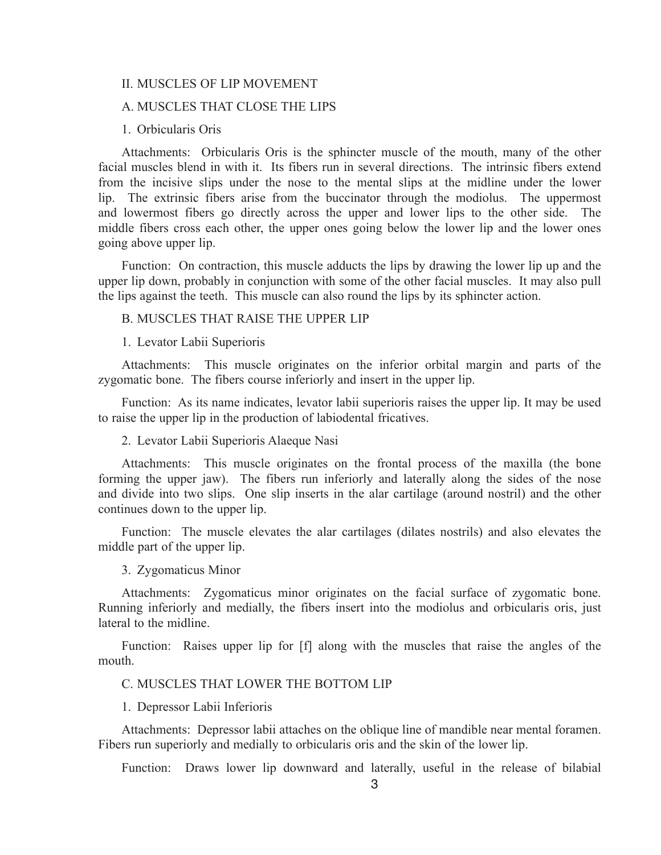### II. MUSCLES OF LIP MOVEMENT

# A. MUSCLES THAT CLOSE THE LIPS

### 1. Orbicularis Oris

Attachments: Orbicularis Oris is the sphincter muscle of the mouth, many of the other facial muscles blend in with it. Its fibers run in several directions. The intrinsic fibers extend from the incisive slips under the nose to the mental slips at the midline under the lower lip. The extrinsic fibers arise from the buccinator through the modiolus. The uppermost and lowermost fibers go directly across the upper and lower lips to the other side. The middle fibers cross each other, the upper ones going below the lower lip and the lower ones going above upper lip.

Function: On contraction, this muscle adducts the lips by drawing the lower lip up and the upper lip down, probably in conjunction with some of the other facial muscles. It may also pull the lips against the teeth. This muscle can also round the lips by its sphincter action.

### B. MUSCLES THAT RAISE THE UPPER LIP

#### 1. Levator Labii Superioris

Attachments: This muscle originates on the inferior orbital margin and parts of the zygomatic bone. The fibers course inferiorly and insert in the upper lip.

Function: As its name indicates, levator labii superioris raises the upper lip. It may be used to raise the upper lip in the production of labiodental fricatives.

### 2. Levator Labii Superioris Alaeque Nasi

Attachments: This muscle originates on the frontal process of the maxilla (the bone forming the upper jaw). The fibers run inferiorly and laterally along the sides of the nose and divide into two slips. One slip inserts in the alar cartilage (around nostril) and the other continues down to the upper lip.

Function: The muscle elevates the alar cartilages (dilates nostrils) and also elevates the middle part of the upper lip.

3. Zygomaticus Minor

Attachments: Zygomaticus minor originates on the facial surface of zygomatic bone. Running inferiorly and medially, the fibers insert into the modiolus and orbicularis oris, just lateral to the midline.

Function: Raises upper lip for [f] along with the muscles that raise the angles of the mouth.

# C. MUSCLES THAT LOWER THE BOTTOM LIP

### 1. Depressor Labii Inferioris

Attachments: Depressor labii attaches on the oblique line of mandible near mental foramen. Fibers run superiorly and medially to orbicularis oris and the skin of the lower lip.

Function: Draws lower lip downward and laterally, useful in the release of bilabial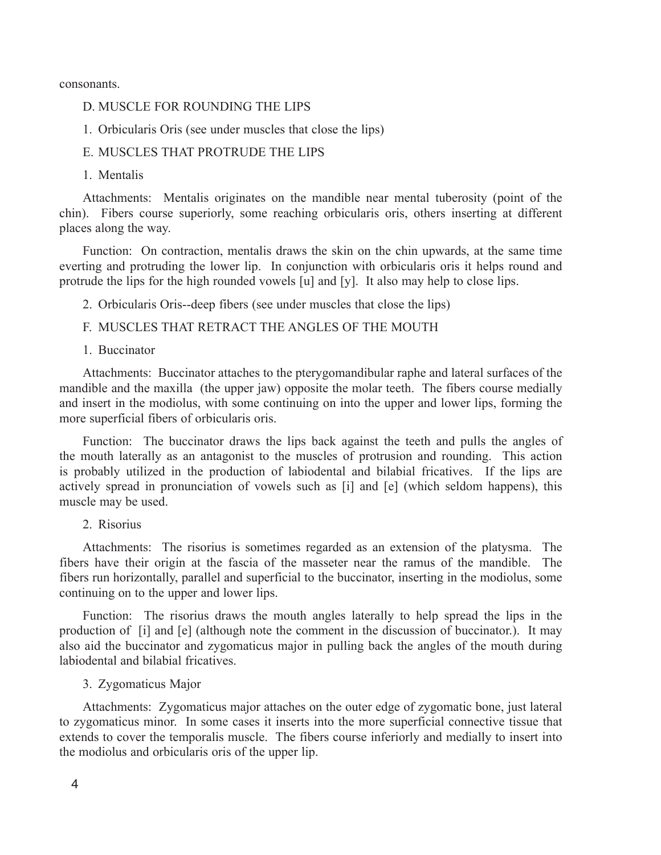consonants.

- D. MUSCLE FOR ROUNDING THE LIPS
- 1. Orbicularis Oris (see under muscles that close the lips)
- E. MUSCLES THAT PROTRUDE THE LIPS
- 1. Mentalis

Attachments: Mentalis originates on the mandible near mental tuberosity (point of the chin). Fibers course superiorly, some reaching orbicularis oris, others inserting at different places along the way.

Function: On contraction, mentalis draws the skin on the chin upwards, at the same time everting and protruding the lower lip. In conjunction with orbicularis oris it helps round and protrude the lips for the high rounded vowels [u] and [y]. It also may help to close lips.

- 2. Orbicularis Oris--deep fibers (see under muscles that close the lips)
- F. MUSCLES THAT RETRACT THE ANGLES OF THE MOUTH
- 1. Buccinator

Attachments: Buccinator attaches to the pterygomandibular raphe and lateral surfaces of the mandible and the maxilla (the upper jaw) opposite the molar teeth. The fibers course medially and insert in the modiolus, with some continuing on into the upper and lower lips, forming the more superficial fibers of orbicularis oris.

Function: The buccinator draws the lips back against the teeth and pulls the angles of the mouth laterally as an antagonist to the muscles of protrusion and rounding. This action is probably utilized in the production of labiodental and bilabial fricatives. If the lips are actively spread in pronunciation of vowels such as [i] and [e] (which seldom happens), this muscle may be used.

2. Risorius

Attachments: The risorius is sometimes regarded as an extension of the platysma. The fibers have their origin at the fascia of the masseter near the ramus of the mandible. The fibers run horizontally, parallel and superficial to the buccinator, inserting in the modiolus, some continuing on to the upper and lower lips.

Function: The risorius draws the mouth angles laterally to help spread the lips in the production of [i] and [e] (although note the comment in the discussion of buccinator.). It may also aid the buccinator and zygomaticus major in pulling back the angles of the mouth during labiodental and bilabial fricatives.

3. Zygomaticus Major

Attachments: Zygomaticus major attaches on the outer edge of zygomatic bone, just lateral to zygomaticus minor. In some cases it inserts into the more superficial connective tissue that extends to cover the temporalis muscle. The fibers course inferiorly and medially to insert into the modiolus and orbicularis oris of the upper lip.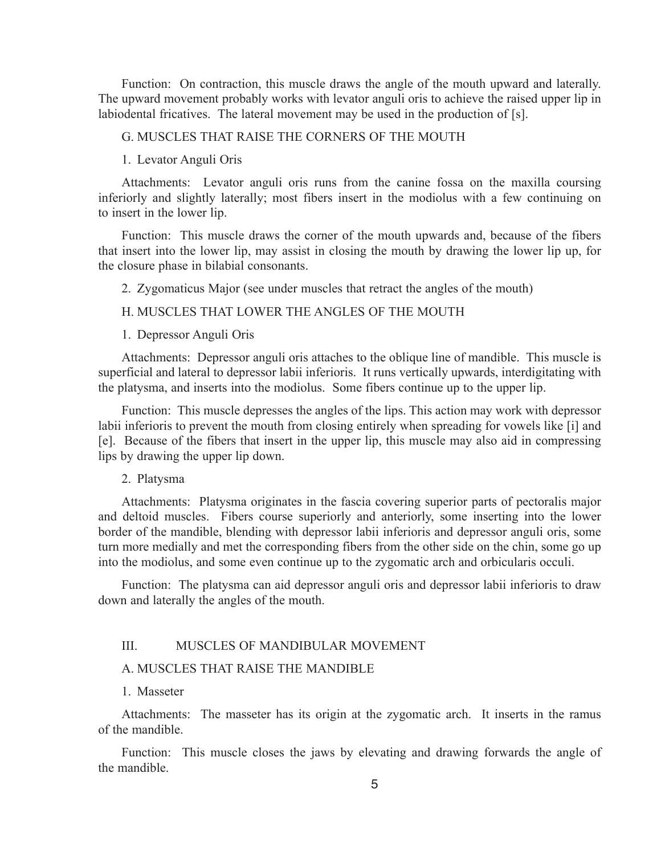Function: On contraction, this muscle draws the angle of the mouth upward and laterally. The upward movement probably works with levator anguli oris to achieve the raised upper lip in labiodental fricatives. The lateral movement may be used in the production of [s].

# G. MUSCLES THAT RAISE THE CORNERS OF THE MOUTH

### 1. Levator Anguli Oris

Attachments: Levator anguli oris runs from the canine fossa on the maxilla coursing inferiorly and slightly laterally; most fibers insert in the modiolus with a few continuing on to insert in the lower lip.

Function: This muscle draws the corner of the mouth upwards and, because of the fibers that insert into the lower lip, may assist in closing the mouth by drawing the lower lip up, for the closure phase in bilabial consonants.

2. Zygomaticus Major (see under muscles that retract the angles of the mouth)

# H. MUSCLES THAT LOWER THE ANGLES OF THE MOUTH

### 1. Depressor Anguli Oris

Attachments: Depressor anguli oris attaches to the oblique line of mandible. This muscle is superficial and lateral to depressor labii inferioris. It runs vertically upwards, interdigitating with the platysma, and inserts into the modiolus. Some fibers continue up to the upper lip.

Function: This muscle depresses the angles of the lips. This action may work with depressor labii inferioris to prevent the mouth from closing entirely when spreading for vowels like [i] and [e]. Because of the fibers that insert in the upper lip, this muscle may also aid in compressing lips by drawing the upper lip down.

#### 2. Platysma

Attachments: Platysma originates in the fascia covering superior parts of pectoralis major and deltoid muscles. Fibers course superiorly and anteriorly, some inserting into the lower border of the mandible, blending with depressor labii inferioris and depressor anguli oris, some turn more medially and met the corresponding fibers from the other side on the chin, some go up into the modiolus, and some even continue up to the zygomatic arch and orbicularis occuli.

Function: The platysma can aid depressor anguli oris and depressor labii inferioris to draw down and laterally the angles of the mouth.

### III. MUSCLES OF MANDIBULAR MOVEMENT

#### A. MUSCLES THAT RAISE THE MANDIBLE

### 1. Masseter

Attachments: The masseter has its origin at the zygomatic arch. It inserts in the ramus of the mandible.

Function: This muscle closes the jaws by elevating and drawing forwards the angle of the mandible.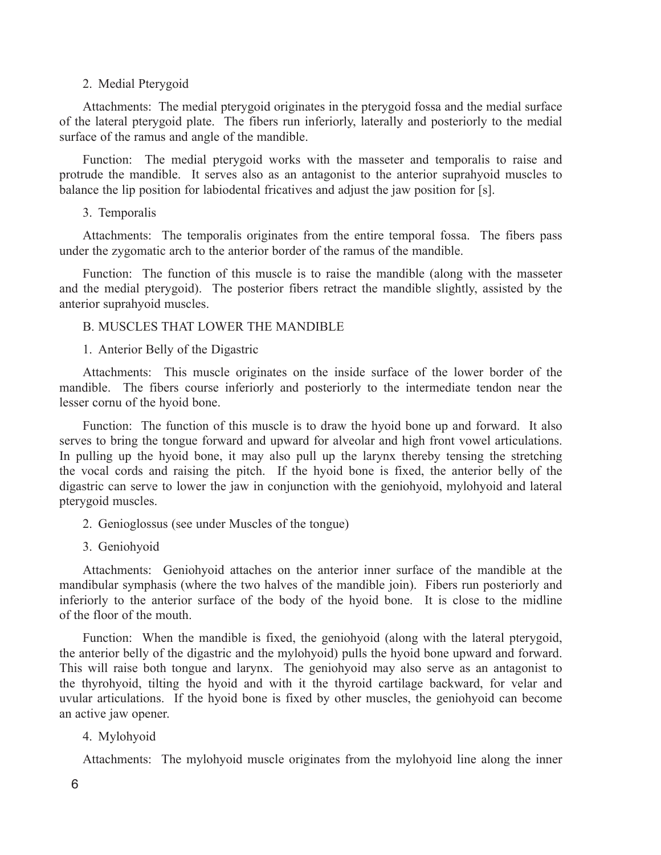# 2. Medial Pterygoid

Attachments: The medial pterygoid originates in the pterygoid fossa and the medial surface of the lateral pterygoid plate. The fibers run inferiorly, laterally and posteriorly to the medial surface of the ramus and angle of the mandible.

Function: The medial pterygoid works with the masseter and temporalis to raise and protrude the mandible. It serves also as an antagonist to the anterior suprahyoid muscles to balance the lip position for labiodental fricatives and adjust the jaw position for [s].

### 3. Temporalis

Attachments: The temporalis originates from the entire temporal fossa. The fibers pass under the zygomatic arch to the anterior border of the ramus of the mandible.

Function: The function of this muscle is to raise the mandible (along with the masseter and the medial pterygoid). The posterior fibers retract the mandible slightly, assisted by the anterior suprahyoid muscles.

# B. MUSCLES THAT LOWER THE MANDIBLE

### 1. Anterior Belly of the Digastric

Attachments: This muscle originates on the inside surface of the lower border of the mandible. The fibers course inferiorly and posteriorly to the intermediate tendon near the lesser cornu of the hyoid bone.

Function: The function of this muscle is to draw the hyoid bone up and forward. It also serves to bring the tongue forward and upward for alveolar and high front vowel articulations. In pulling up the hyoid bone, it may also pull up the larynx thereby tensing the stretching the vocal cords and raising the pitch. If the hyoid bone is fixed, the anterior belly of the digastric can serve to lower the jaw in conjunction with the geniohyoid, mylohyoid and lateral pterygoid muscles.

- 2. Genioglossus (see under Muscles of the tongue)
- 3. Geniohyoid

Attachments: Geniohyoid attaches on the anterior inner surface of the mandible at the mandibular symphasis (where the two halves of the mandible join). Fibers run posteriorly and inferiorly to the anterior surface of the body of the hyoid bone. It is close to the midline of the floor of the mouth.

Function: When the mandible is fixed, the geniohyoid (along with the lateral pterygoid, the anterior belly of the digastric and the mylohyoid) pulls the hyoid bone upward and forward. This will raise both tongue and larynx. The geniohyoid may also serve as an antagonist to the thyrohyoid, tilting the hyoid and with it the thyroid cartilage backward, for velar and uvular articulations. If the hyoid bone is fixed by other muscles, the geniohyoid can become an active jaw opener.

# 4. Mylohyoid

Attachments: The mylohyoid muscle originates from the mylohyoid line along the inner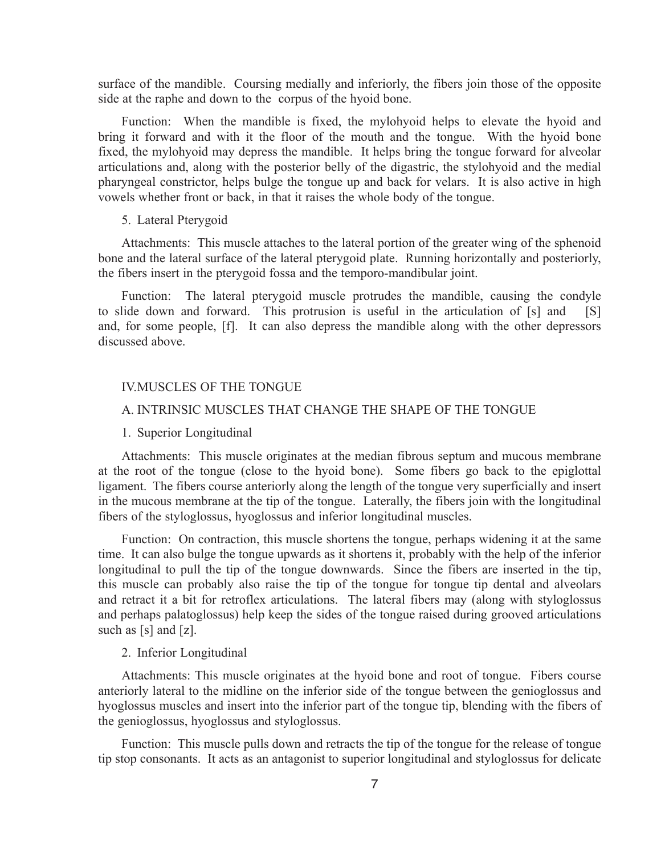surface of the mandible. Coursing medially and inferiorly, the fibers join those of the opposite side at the raphe and down to the corpus of the hyoid bone.

Function: When the mandible is fixed, the mylohyoid helps to elevate the hyoid and bring it forward and with it the floor of the mouth and the tongue. With the hyoid bone fixed, the mylohyoid may depress the mandible. It helps bring the tongue forward for alveolar articulations and, along with the posterior belly of the digastric, the stylohyoid and the medial pharyngeal constrictor, helps bulge the tongue up and back for velars. It is also active in high vowels whether front or back, in that it raises the whole body of the tongue.

### 5. Lateral Pterygoid

Attachments: This muscle attaches to the lateral portion of the greater wing of the sphenoid bone and the lateral surface of the lateral pterygoid plate. Running horizontally and posteriorly, the fibers insert in the pterygoid fossa and the temporo-mandibular joint.

Function: The lateral pterygoid muscle protrudes the mandible, causing the condyle to slide down and forward. This protrusion is useful in the articulation of [s] and [S] and, for some people, [f]. It can also depress the mandible along with the other depressors discussed above.

# IV.MUSCLES OF THE TONGUE

# A. INTRINSIC MUSCLES THAT CHANGE THE SHAPE OF THE TONGUE

1. Superior Longitudinal

Attachments: This muscle originates at the median fibrous septum and mucous membrane at the root of the tongue (close to the hyoid bone). Some fibers go back to the epiglottal ligament. The fibers course anteriorly along the length of the tongue very superficially and insert in the mucous membrane at the tip of the tongue. Laterally, the fibers join with the longitudinal fibers of the styloglossus, hyoglossus and inferior longitudinal muscles.

Function: On contraction, this muscle shortens the tongue, perhaps widening it at the same time. It can also bulge the tongue upwards as it shortens it, probably with the help of the inferior longitudinal to pull the tip of the tongue downwards. Since the fibers are inserted in the tip, this muscle can probably also raise the tip of the tongue for tongue tip dental and alveolars and retract it a bit for retroflex articulations. The lateral fibers may (along with styloglossus and perhaps palatoglossus) help keep the sides of the tongue raised during grooved articulations such as [s] and [z].

#### 2. Inferior Longitudinal

Attachments: This muscle originates at the hyoid bone and root of tongue. Fibers course anteriorly lateral to the midline on the inferior side of the tongue between the genioglossus and hyoglossus muscles and insert into the inferior part of the tongue tip, blending with the fibers of the genioglossus, hyoglossus and styloglossus.

Function: This muscle pulls down and retracts the tip of the tongue for the release of tongue tip stop consonants. It acts as an antagonist to superior longitudinal and styloglossus for delicate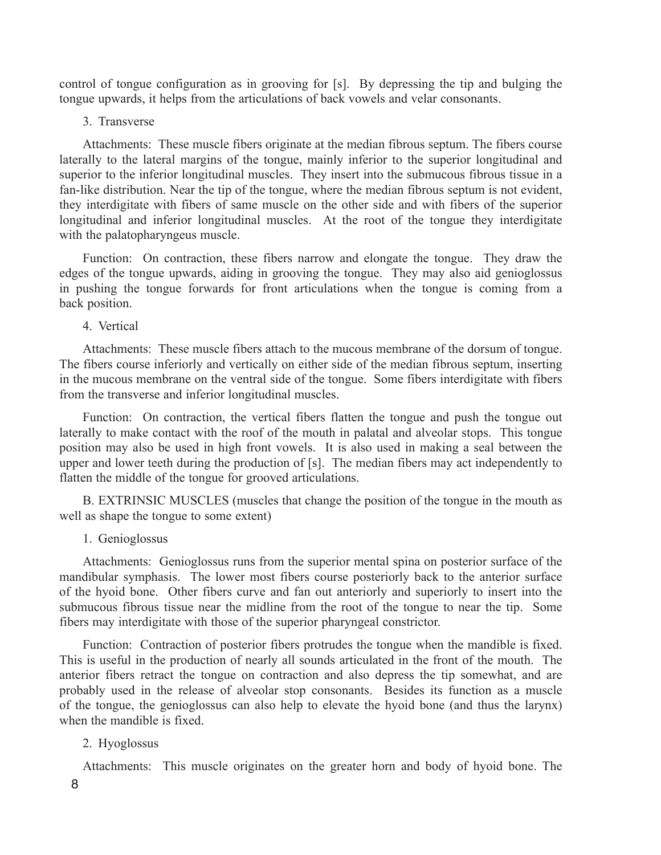control of tongue configuration as in grooving for [s]. By depressing the tip and bulging the tongue upwards, it helps from the articulations of back vowels and velar consonants.

3. Transverse

Attachments: These muscle fibers originate at the median fibrous septum. The fibers course laterally to the lateral margins of the tongue, mainly inferior to the superior longitudinal and superior to the inferior longitudinal muscles. They insert into the submucous fibrous tissue in a fan-like distribution. Near the tip of the tongue, where the median fibrous septum is not evident, they interdigitate with fibers of same muscle on the other side and with fibers of the superior longitudinal and inferior longitudinal muscles. At the root of the tongue they interdigitate with the palatopharyngeus muscle.

Function: On contraction, these fibers narrow and elongate the tongue. They draw the edges of the tongue upwards, aiding in grooving the tongue. They may also aid genioglossus in pushing the tongue forwards for front articulations when the tongue is coming from a back position.

4. Vertical

Attachments: These muscle fibers attach to the mucous membrane of the dorsum of tongue. The fibers course inferiorly and vertically on either side of the median fibrous septum, inserting in the mucous membrane on the ventral side of the tongue. Some fibers interdigitate with fibers from the transverse and inferior longitudinal muscles.

Function: On contraction, the vertical fibers flatten the tongue and push the tongue out laterally to make contact with the roof of the mouth in palatal and alveolar stops. This tongue position may also be used in high front vowels. It is also used in making a seal between the upper and lower teeth during the production of [s]. The median fibers may act independently to flatten the middle of the tongue for grooved articulations.

B. EXTRINSIC MUSCLES (muscles that change the position of the tongue in the mouth as well as shape the tongue to some extent)

# 1. Genioglossus

Attachments: Genioglossus runs from the superior mental spina on posterior surface of the mandibular symphasis. The lower most fibers course posteriorly back to the anterior surface of the hyoid bone. Other fibers curve and fan out anteriorly and superiorly to insert into the submucous fibrous tissue near the midline from the root of the tongue to near the tip. Some fibers may interdigitate with those of the superior pharyngeal constrictor.

Function: Contraction of posterior fibers protrudes the tongue when the mandible is fixed. This is useful in the production of nearly all sounds articulated in the front of the mouth. The anterior fibers retract the tongue on contraction and also depress the tip somewhat, and are probably used in the release of alveolar stop consonants. Besides its function as a muscle of the tongue, the genioglossus can also help to elevate the hyoid bone (and thus the larynx) when the mandible is fixed.

# 2. Hyoglossus

Attachments: This muscle originates on the greater horn and body of hyoid bone. The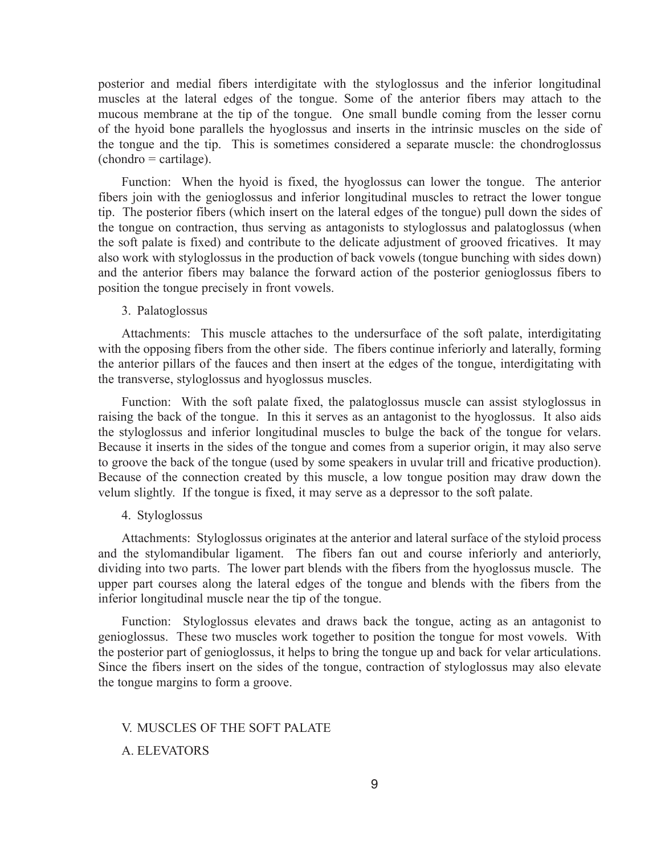posterior and medial fibers interdigitate with the styloglossus and the inferior longitudinal muscles at the lateral edges of the tongue. Some of the anterior fibers may attach to the mucous membrane at the tip of the tongue. One small bundle coming from the lesser cornu of the hyoid bone parallels the hyoglossus and inserts in the intrinsic muscles on the side of the tongue and the tip. This is sometimes considered a separate muscle: the chondroglossus  $(chondro = cartilage).$ 

Function: When the hyoid is fixed, the hyoglossus can lower the tongue. The anterior fibers join with the genioglossus and inferior longitudinal muscles to retract the lower tongue tip. The posterior fibers (which insert on the lateral edges of the tongue) pull down the sides of the tongue on contraction, thus serving as antagonists to styloglossus and palatoglossus (when the soft palate is fixed) and contribute to the delicate adjustment of grooved fricatives. It may also work with styloglossus in the production of back vowels (tongue bunching with sides down) and the anterior fibers may balance the forward action of the posterior genioglossus fibers to position the tongue precisely in front vowels.

### 3. Palatoglossus

Attachments: This muscle attaches to the undersurface of the soft palate, interdigitating with the opposing fibers from the other side. The fibers continue inferiorly and laterally, forming the anterior pillars of the fauces and then insert at the edges of the tongue, interdigitating with the transverse, styloglossus and hyoglossus muscles.

Function: With the soft palate fixed, the palatoglossus muscle can assist styloglossus in raising the back of the tongue. In this it serves as an antagonist to the hyoglossus. It also aids the styloglossus and inferior longitudinal muscles to bulge the back of the tongue for velars. Because it inserts in the sides of the tongue and comes from a superior origin, it may also serve to groove the back of the tongue (used by some speakers in uvular trill and fricative production). Because of the connection created by this muscle, a low tongue position may draw down the velum slightly. If the tongue is fixed, it may serve as a depressor to the soft palate.

### 4. Styloglossus

Attachments: Styloglossus originates at the anterior and lateral surface of the styloid process and the stylomandibular ligament. The fibers fan out and course inferiorly and anteriorly, dividing into two parts. The lower part blends with the fibers from the hyoglossus muscle. The upper part courses along the lateral edges of the tongue and blends with the fibers from the inferior longitudinal muscle near the tip of the tongue.

Function: Styloglossus elevates and draws back the tongue, acting as an antagonist to genioglossus. These two muscles work together to position the tongue for most vowels. With the posterior part of genioglossus, it helps to bring the tongue up and back for velar articulations. Since the fibers insert on the sides of the tongue, contraction of styloglossus may also elevate the tongue margins to form a groove.

V. MUSCLES OF THE SOFT PALATE A. ELEVATORS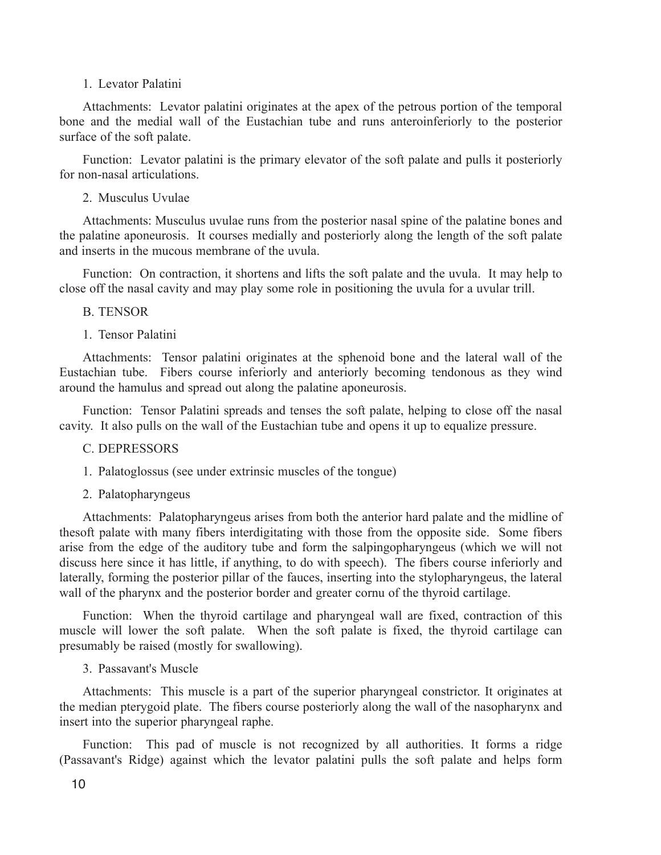### 1. Levator Palatini

Attachments: Levator palatini originates at the apex of the petrous portion of the temporal bone and the medial wall of the Eustachian tube and runs anteroinferiorly to the posterior surface of the soft palate.

Function: Levator palatini is the primary elevator of the soft palate and pulls it posteriorly for non-nasal articulations.

# 2. Musculus Uvulae

Attachments: Musculus uvulae runs from the posterior nasal spine of the palatine bones and the palatine aponeurosis. It courses medially and posteriorly along the length of the soft palate and inserts in the mucous membrane of the uvula.

Function: On contraction, it shortens and lifts the soft palate and the uvula. It may help to close off the nasal cavity and may play some role in positioning the uvula for a uvular trill.

# B. TENSOR

# 1. Tensor Palatini

Attachments: Tensor palatini originates at the sphenoid bone and the lateral wall of the Eustachian tube. Fibers course inferiorly and anteriorly becoming tendonous as they wind around the hamulus and spread out along the palatine aponeurosis.

Function: Tensor Palatini spreads and tenses the soft palate, helping to close off the nasal cavity. It also pulls on the wall of the Eustachian tube and opens it up to equalize pressure.

# C. DEPRESSORS

1. Palatoglossus (see under extrinsic muscles of the tongue)

### 2. Palatopharyngeus

Attachments: Palatopharyngeus arises from both the anterior hard palate and the midline of thesoft palate with many fibers interdigitating with those from the opposite side. Some fibers arise from the edge of the auditory tube and form the salpingopharyngeus (which we will not discuss here since it has little, if anything, to do with speech). The fibers course inferiorly and laterally, forming the posterior pillar of the fauces, inserting into the stylopharyngeus, the lateral wall of the pharynx and the posterior border and greater cornu of the thyroid cartilage.

Function: When the thyroid cartilage and pharyngeal wall are fixed, contraction of this muscle will lower the soft palate. When the soft palate is fixed, the thyroid cartilage can presumably be raised (mostly for swallowing).

### 3. Passavant's Muscle

Attachments: This muscle is a part of the superior pharyngeal constrictor. It originates at the median pterygoid plate. The fibers course posteriorly along the wall of the nasopharynx and insert into the superior pharyngeal raphe.

Function: This pad of muscle is not recognized by all authorities. It forms a ridge (Passavant's Ridge) against which the levator palatini pulls the soft palate and helps form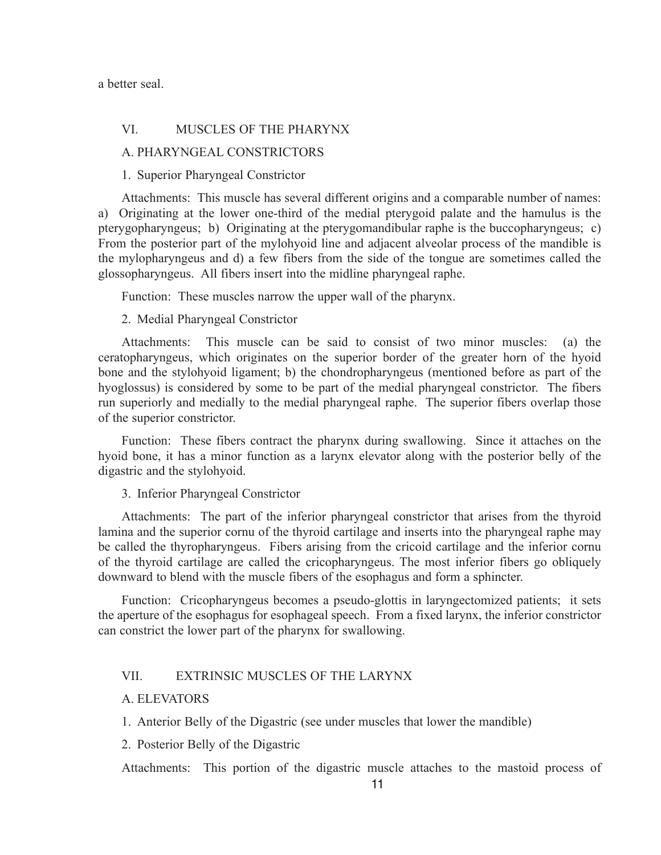a better seal.

# VI. MUSCLES OF THE PHARYNX

A. PHARYNGEAL CONSTRICTORS

1. Superior Pharyngeal Constrictor

Attachments: This muscle has several different origins and a comparable number of names: a) Originating at the lower one-third of the medial pterygoid palate and the hamulus is the pterygopharyngeus; b) Originating at the pterygomandibular raphe is the buccopharyngeus; c) From the posterior part of the mylohyoid line and adjacent alveolar process of the mandible is the mylopharyngeus and d) a few fibers from the side of the tongue are sometimes called the glossopharyngeus. All fibers insert into the midline pharyngeal raphe.

Function: These muscles narrow the upper wall of the pharynx.

### 2. Medial Pharyngeal Constrictor

Attachments: This muscle can be said to consist of two minor muscles: (a) the ceratopharyngeus, which originates on the superior border of the greater horn of the hyoid bone and the stylohyoid ligament; b) the chondropharyngeus (mentioned before as part of the hyoglossus) is considered by some to be part of the medial pharyngeal constrictor. The fibers run superiorly and medially to the medial pharyngeal raphe. The superior fibers overlap those of the superior constrictor.

Function: These fibers contract the pharynx during swallowing. Since it attaches on the hyoid bone, it has a minor function as a larynx elevator along with the posterior belly of the digastric and the stylohyoid.

3. Inferior Pharyngeal Constrictor

Attachments: The part of the inferior pharyngeal constrictor that arises from the thyroid lamina and the superior cornu of the thyroid cartilage and inserts into the pharyngeal raphe may be called the thyropharyngeus. Fibers arising from the cricoid cartilage and the inferior cornu of the thyroid cartilage are called the cricopharyngeus. The most inferior fibers go obliquely downward to blend with the muscle fibers of the esophagus and form a sphincter.

Function: Cricopharyngeus becomes a pseudo-glottis in laryngectomized patients; it sets the aperture of the esophagus for esophageal speech. From a fixed larynx, the inferior constrictor can constrict the lower part of the pharynx for swallowing.

# VII. EXTRINSIC MUSCLES OF THE LARYNX

### A. ELEVATORS

1. Anterior Belly of the Digastric (see under muscles that lower the mandible)

2. Posterior Belly of the Digastric

Attachments: This portion of the digastric muscle attaches to the mastoid process of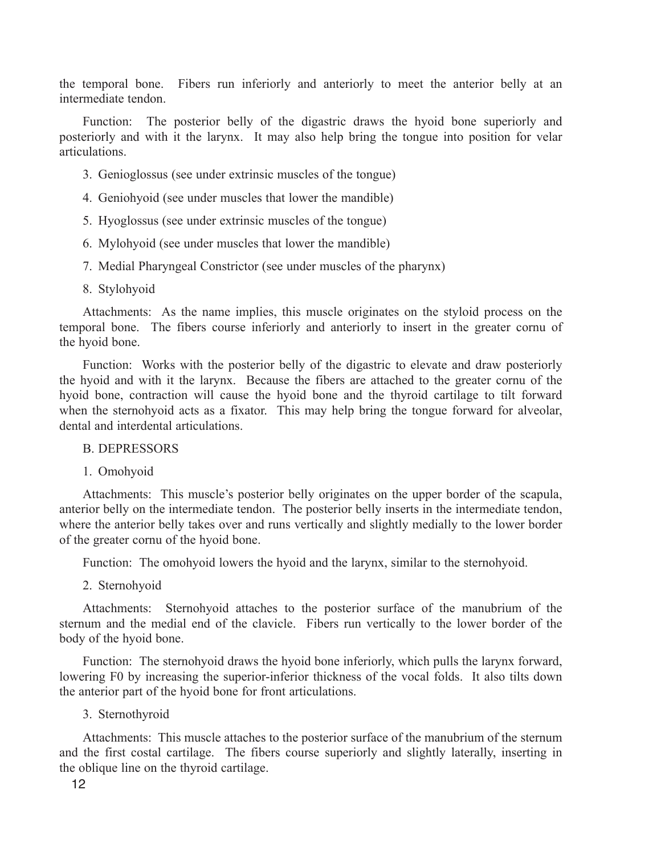the temporal bone. Fibers run inferiorly and anteriorly to meet the anterior belly at an intermediate tendon.

Function: The posterior belly of the digastric draws the hyoid bone superiorly and posteriorly and with it the larynx. It may also help bring the tongue into position for velar articulations.

- 3. Genioglossus (see under extrinsic muscles of the tongue)
- 4. Geniohyoid (see under muscles that lower the mandible)
- 5. Hyoglossus (see under extrinsic muscles of the tongue)
- 6. Mylohyoid (see under muscles that lower the mandible)
- 7. Medial Pharyngeal Constrictor (see under muscles of the pharynx)
- 8. Stylohyoid

Attachments: As the name implies, this muscle originates on the styloid process on the temporal bone. The fibers course inferiorly and anteriorly to insert in the greater cornu of the hyoid bone.

Function: Works with the posterior belly of the digastric to elevate and draw posteriorly the hyoid and with it the larynx. Because the fibers are attached to the greater cornu of the hyoid bone, contraction will cause the hyoid bone and the thyroid cartilage to tilt forward when the sternohyoid acts as a fixator. This may help bring the tongue forward for alveolar, dental and interdental articulations.

# B. DEPRESSORS

1. Omohyoid

Attachments: This muscle's posterior belly originates on the upper border of the scapula, anterior belly on the intermediate tendon. The posterior belly inserts in the intermediate tendon, where the anterior belly takes over and runs vertically and slightly medially to the lower border of the greater cornu of the hyoid bone.

Function: The omohyoid lowers the hyoid and the larynx, similar to the sternohyoid.

2. Sternohyoid

Attachments: Sternohyoid attaches to the posterior surface of the manubrium of the sternum and the medial end of the clavicle. Fibers run vertically to the lower border of the body of the hyoid bone.

Function: The sternohyoid draws the hyoid bone inferiorly, which pulls the larynx forward, lowering F0 by increasing the superior-inferior thickness of the vocal folds. It also tilts down the anterior part of the hyoid bone for front articulations.

3. Sternothyroid

Attachments: This muscle attaches to the posterior surface of the manubrium of the sternum and the first costal cartilage. The fibers course superiorly and slightly laterally, inserting in the oblique line on the thyroid cartilage.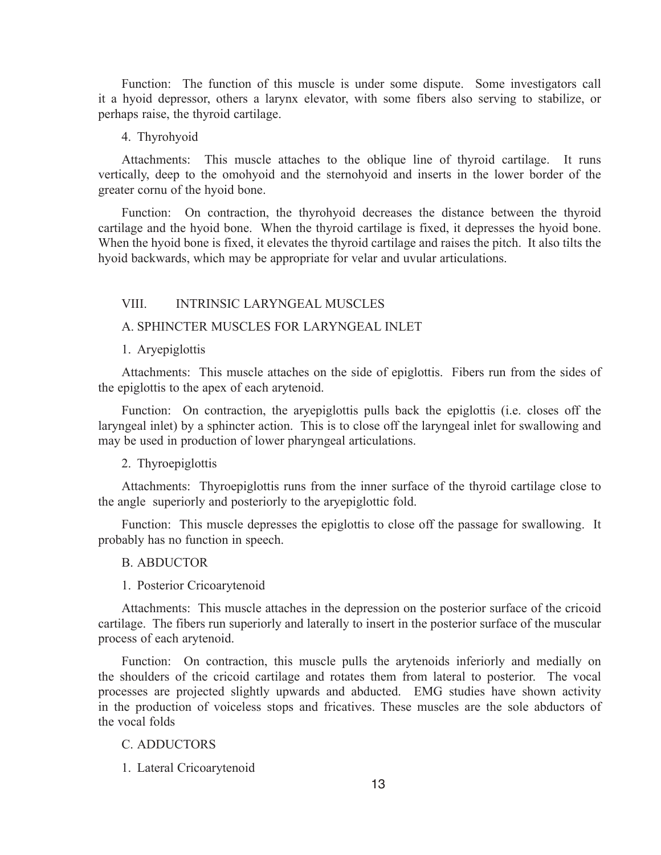Function: The function of this muscle is under some dispute. Some investigators call it a hyoid depressor, others a larynx elevator, with some fibers also serving to stabilize, or perhaps raise, the thyroid cartilage.

### 4. Thyrohyoid

Attachments: This muscle attaches to the oblique line of thyroid cartilage. It runs vertically, deep to the omohyoid and the sternohyoid and inserts in the lower border of the greater cornu of the hyoid bone.

Function: On contraction, the thyrohyoid decreases the distance between the thyroid cartilage and the hyoid bone. When the thyroid cartilage is fixed, it depresses the hyoid bone. When the hyoid bone is fixed, it elevates the thyroid cartilage and raises the pitch. It also tilts the hyoid backwards, which may be appropriate for velar and uvular articulations.

# VIII. INTRINSIC LARYNGEAL MUSCLES

# A. SPHINCTER MUSCLES FOR LARYNGEAL INLET

### 1. Aryepiglottis

Attachments: This muscle attaches on the side of epiglottis. Fibers run from the sides of the epiglottis to the apex of each arytenoid.

Function: On contraction, the aryepiglottis pulls back the epiglottis (i.e. closes off the laryngeal inlet) by a sphincter action. This is to close off the laryngeal inlet for swallowing and may be used in production of lower pharyngeal articulations.

### 2. Thyroepiglottis

Attachments: Thyroepiglottis runs from the inner surface of the thyroid cartilage close to the angle superiorly and posteriorly to the aryepiglottic fold.

Function: This muscle depresses the epiglottis to close off the passage for swallowing. It probably has no function in speech.

#### B. ABDUCTOR

1. Posterior Cricoarytenoid

Attachments: This muscle attaches in the depression on the posterior surface of the cricoid cartilage. The fibers run superiorly and laterally to insert in the posterior surface of the muscular process of each arytenoid.

Function: On contraction, this muscle pulls the arytenoids inferiorly and medially on the shoulders of the cricoid cartilage and rotates them from lateral to posterior. The vocal processes are projected slightly upwards and abducted. EMG studies have shown activity in the production of voiceless stops and fricatives. These muscles are the sole abductors of the vocal folds

# C. ADDUCTORS

1. Lateral Cricoarytenoid